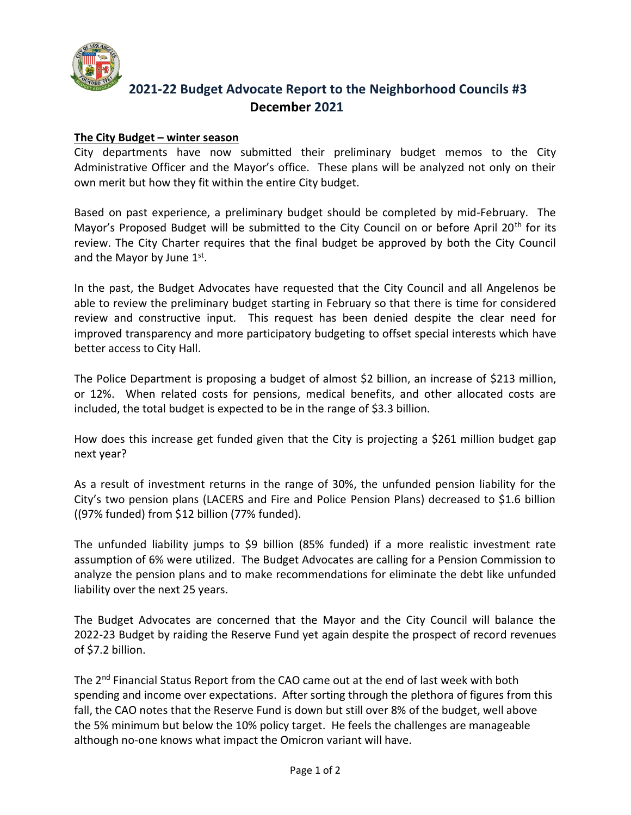

## **2021-22 Budget Advocate Report to the Neighborhood Councils #3 December 2021**

## **The City Budget – winter season**

City departments have now submitted their preliminary budget memos to the City Administrative Officer and the Mayor's office. These plans will be analyzed not only on their own merit but how they fit within the entire City budget.

Based on past experience, a preliminary budget should be completed by mid-February. The Mayor's Proposed Budget will be submitted to the City Council on or before April 20<sup>th</sup> for its review. The City Charter requires that the final budget be approved by both the City Council and the Mayor by June 1st.

In the past, the Budget Advocates have requested that the City Council and all Angelenos be able to review the preliminary budget starting in February so that there is time for considered review and constructive input. This request has been denied despite the clear need for improved transparency and more participatory budgeting to offset special interests which have better access to City Hall.

The Police Department is proposing a budget of almost \$2 billion, an increase of \$213 million, or 12%. When related costs for pensions, medical benefits, and other allocated costs are included, the total budget is expected to be in the range of \$3.3 billion.

How does this increase get funded given that the City is projecting a \$261 million budget gap next year?

As a result of investment returns in the range of 30%, the unfunded pension liability for the City's two pension plans (LACERS and Fire and Police Pension Plans) decreased to \$1.6 billion ((97% funded) from \$12 billion (77% funded).

The unfunded liability jumps to \$9 billion (85% funded) if a more realistic investment rate assumption of 6% were utilized. The Budget Advocates are calling for a Pension Commission to analyze the pension plans and to make recommendations for eliminate the debt like unfunded liability over the next 25 years.

The Budget Advocates are concerned that the Mayor and the City Council will balance the 2022-23 Budget by raiding the Reserve Fund yet again despite the prospect of record revenues of \$7.2 billion.

The  $2<sup>nd</sup>$  Financial Status Report from the CAO came out at the end of last week with both spending and income over expectations. After sorting through the plethora of figures from this fall, the CAO notes that the Reserve Fund is down but still over 8% of the budget, well above the 5% minimum but below the 10% policy target. He feels the challenges are manageable although no-one knows what impact the Omicron variant will have.